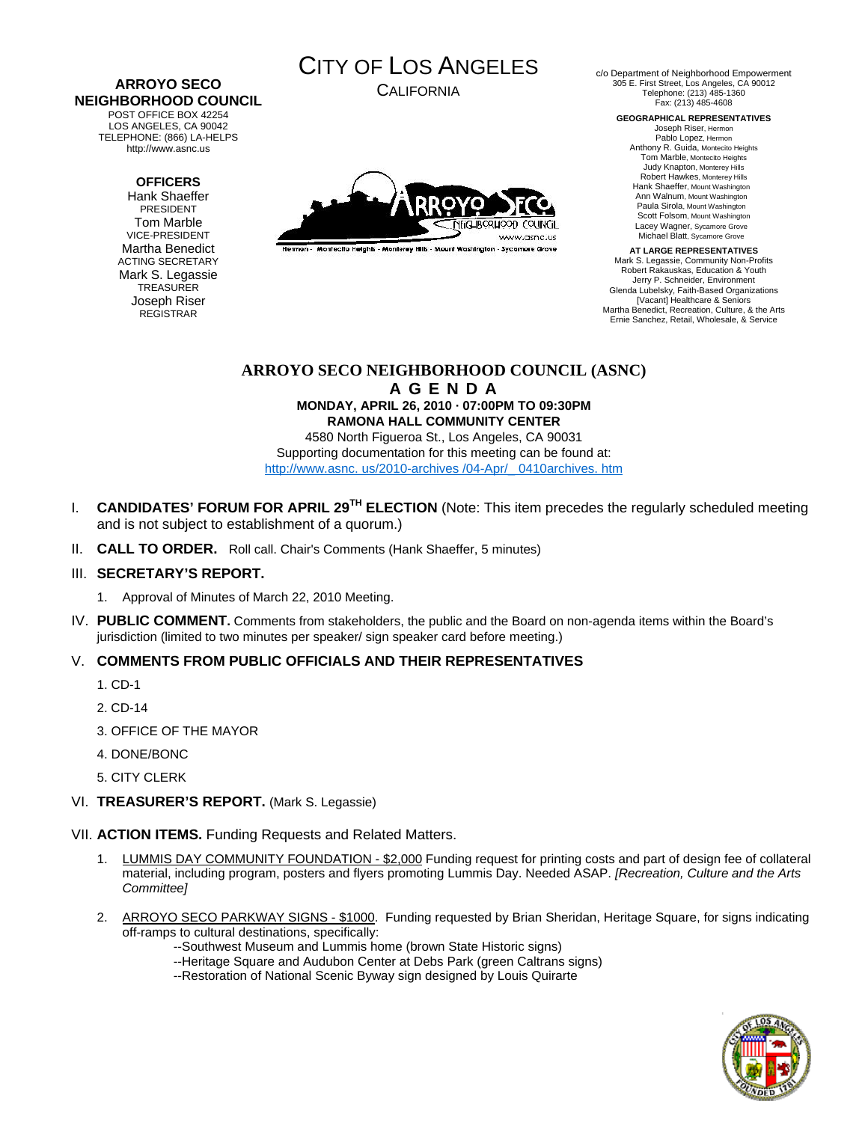#### **ARROYO SECO NEIGHBORHOOD COUNCIL**  POST OFFICE BOX 42254

LOS ANGELES, CA 90042 TELEPHONE: (866) LA-HELPS http://www.asnc.us

# **OFFICERS**

Hank Shaeffer PRESIDENT Tom Marble VICE-PRESIDENT Martha Benedict ACTING SECRETARY Mark S. Legassie **TREASURER** Joseph Riser REGISTRAR



CALIFORNIA



.<br>Hermon - Montecito Helahis - Monterey Hills - Mount Washington - Sycamore Grove

c/o Department of Neighborhood Empowerment 305 E. First Street, Los Angeles, CA 90012 Telephone: (213) 485-1360 Fax: (213) 485-4608

**GEOGRAPHICAL REPRESENTATIVES**  Joseph Riser, Hermon Pablo Lopez, Hermon

Anthony R. Guida, Montecito Heights Tom Marble, Montecito Heights Judy Knapton, Monterey Hills Robert Hawkes, Monterey Hills Hank Shaeffer, Mount Washington Ann Walnum, Mount Washington Paula Sirola, Mount Washington Scott Folsom, Mount Washington Lacey Wagner, Sycamore Grove Michael Blatt, Sycamore Grove

**AT LARGE REPRESENTATIVES**  Mark S. Legassie, Community Non-Profits Robert Rakauskas, Education & Youth Jerry P. Schneider, Environment Glenda Lubelsky, Faith-Based Organizations [Vacant] Healthcare & Seniors Martha Benedict, Recreation, Culture, & the Arts Ernie Sanchez, Retail, Wholesale, & Service

# **ARROYO SECO NEIGHBORHOOD COUNCIL (ASNC) A G E N D A**

**MONDAY, APRIL 26, 2010 · 07:00PM TO 09:30PM RAMONA HALL COMMUNITY CENTER** 

4580 North Figueroa St., Los Angeles, CA 90031 Supporting documentation for this meeting can be found at: http://www.asnc. us/2010-archives /04-Apr/\_ 0410archives. htm

- I. **CANDIDATES' FORUM FOR APRIL 29TH ELECTION** (Note: This item precedes the regularly scheduled meeting and is not subject to establishment of a quorum.)
- II. **CALL TO ORDER.** Roll call. Chair's Comments (Hank Shaeffer, 5 minutes)

# III. **SECRETARY'S REPORT.**

- 1. Approval of Minutes of March 22, 2010 Meeting.
- IV. **PUBLIC COMMENT.** Comments from stakeholders, the public and the Board on non-agenda items within the Board's jurisdiction (limited to two minutes per speaker/ sign speaker card before meeting.)

# V. **COMMENTS FROM PUBLIC OFFICIALS AND THEIR REPRESENTATIVES**

- 1. CD-1
- 2. CD-14
- 3. OFFICE OF THE MAYOR
- 4. DONE/BONC
- 5. CITY CLERK
- VI. **TREASURER'S REPORT.** (Mark S. Legassie)

VII. **ACTION ITEMS.** Funding Requests and Related Matters.

- 1. LUMMIS DAY COMMUNITY FOUNDATION \$2,000 Funding request for printing costs and part of design fee of collateral material, including program, posters and flyers promoting Lummis Day. Needed ASAP. *[Recreation, Culture and the Arts Committee]*
- 2. ARROYO SECO PARKWAY SIGNS \$1000. Funding requested by Brian Sheridan, Heritage Square, for signs indicating off-ramps to cultural destinations, specifically:
	- --Southwest Museum and Lummis home (brown State Historic signs)
	- --Heritage Square and Audubon Center at Debs Park (green Caltrans signs)
	- --Restoration of National Scenic Byway sign designed by Louis Quirarte

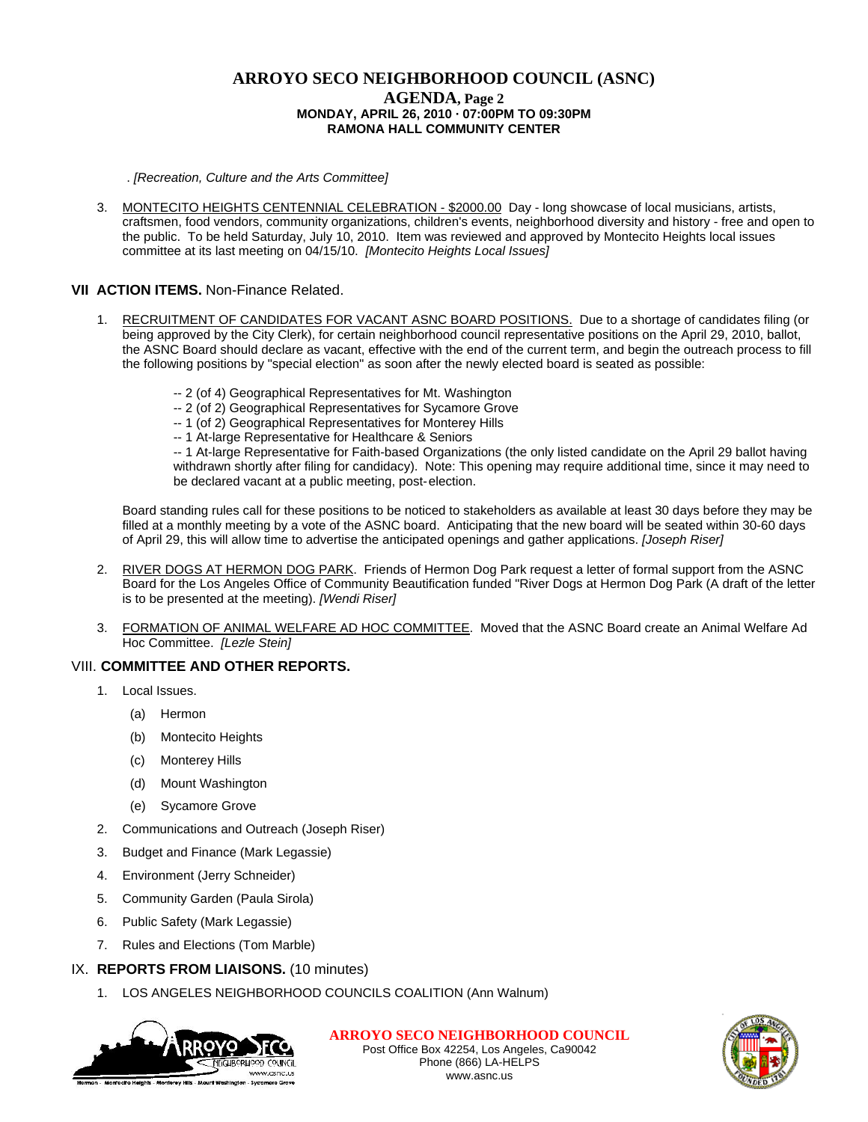# **ARROYO SECO NEIGHBORHOOD COUNCIL (ASNC) AGENDA, Page 2 MONDAY, APRIL 26, 2010 · 07:00PM TO 09:30PM RAMONA HALL COMMUNITY CENTER**

. *[Recreation, Culture and the Arts Committee]*

3. MONTECITO HEIGHTS CENTENNIAL CELEBRATION - \$2000.00 Day - long showcase of local musicians, artists, craftsmen, food vendors, community organizations, children's events, neighborhood diversity and history - free and open to the public. To be held Saturday, July 10, 2010. Item was reviewed and approved by Montecito Heights local issues committee at its last meeting on 04/15/10. *[Montecito Heights Local Issues]* 

# **VII ACTION ITEMS.** Non-Finance Related.

- 1. RECRUITMENT OF CANDIDATES FOR VACANT ASNC BOARD POSITIONS. Due to a shortage of candidates filing (or being approved by the City Clerk), for certain neighborhood council representative positions on the April 29, 2010, ballot, the ASNC Board should declare as vacant, effective with the end of the current term, and begin the outreach process to fill the following positions by "special election" as soon after the newly elected board is seated as possible:
	- -- 2 (of 4) Geographical Representatives for Mt. Washington
	- -- 2 (of 2) Geographical Representatives for Sycamore Grove
	- -- 1 (of 2) Geographical Representatives for Monterey Hills
	- -- 1 At-large Representative for Healthcare & Seniors

 -- 1 At-large Representative for Faith-based Organizations (the only listed candidate on the April 29 ballot having withdrawn shortly after filing for candidacy). Note: This opening may require additional time, since it may need to be declared vacant at a public meeting, post- election.

Board standing rules call for these positions to be noticed to stakeholders as available at least 30 days before they may be filled at a monthly meeting by a vote of the ASNC board. Anticipating that the new board will be seated within 30-60 days of April 29, this will allow time to advertise the anticipated openings and gather applications. *[Joseph Riser]*

- 2. RIVER DOGS AT HERMON DOG PARK. Friends of Hermon Dog Park request a letter of formal support from the ASNC Board for the Los Angeles Office of Community Beautification funded "River Dogs at Hermon Dog Park (A draft of the letter is to be presented at the meeting). *[Wendi Riser]*
- 3. FORMATION OF ANIMAL WELFARE AD HOC COMMITTEE. Moved that the ASNC Board create an Animal Welfare Ad Hoc Committee. *[Lezle Stein]*

### VIII. **COMMITTEE AND OTHER REPORTS.**

- 1. Local Issues.
	- (a) Hermon
	- (b) Montecito Heights
	- (c) Monterey Hills
	- (d) Mount Washington
	- (e) Sycamore Grove
- 2. Communications and Outreach (Joseph Riser)
- 3. Budget and Finance (Mark Legassie)
- 4. Environment (Jerry Schneider)
- 5. Community Garden (Paula Sirola)
- 6. Public Safety (Mark Legassie)
- 7. Rules and Elections (Tom Marble)

### IX. **REPORTS FROM LIAISONS.** (10 minutes)

1. LOS ANGELES NEIGHBORHOOD COUNCILS COALITION (Ann Walnum)



**ARROYO SECO NEIGHBORHOOD COUNCIL** Post Office Box 42254, Los Angeles, Ca90042 Phone (866) LA-HELPS www.asnc.us